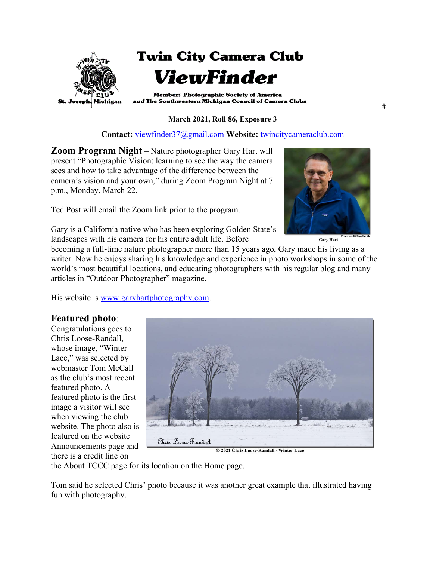

#### **March 2021, Roll 86, Exposure 3**

#### **Contact:** viewfinder37@gmail.com **Website:** twincitycameraclub.com

**Zoom Program Night** – Nature photographer Gary Hart will present "Photographic Vision: learning to see the way the camera sees and how to take advantage of the difference between the camera's vision and your own," during Zoom Program Night at 7 p.m., Monday, March 22.

Ted Post will email the Zoom link prior to the program.



**Gary Hart** 

Gary is a California native who has been exploring Golden State's landscapes with his camera for his entire adult life. Before

becoming a full-time nature photographer more than 15 years ago, Gary made his living as a writer. Now he enjoys sharing his knowledge and experience in photo workshops in some of the world's most beautiful locations, and educating photographers with his regular blog and many articles in "Outdoor Photographer" magazine.

His website is www.garyhartphotography.com.

## **Featured photo**:

Congratulations goes to Chris Loose-Randall, whose image, "Winter Lace," was selected by webmaster Tom McCall as the club's most recent featured photo. A featured photo is the first image a visitor will see when viewing the club website. The photo also is featured on the website Announcements page and there is a credit line on



© 2021 Chris Loose-Randall - Winter Lace

the About TCCC page for its location on the Home page.

Tom said he selected Chris' photo because it was another great example that illustrated having fun with photography.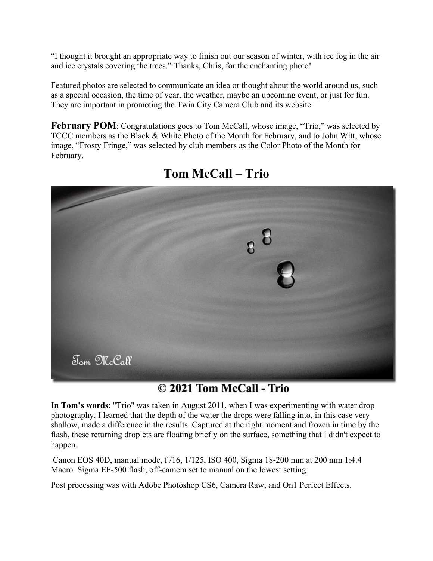"I thought it brought an appropriate way to finish out our season of winter, with ice fog in the air and ice crystals covering the trees." Thanks, Chris, for the enchanting photo!

Featured photos are selected to communicate an idea or thought about the world around us, such as a special occasion, the time of year, the weather, maybe an upcoming event, or just for fun. They are important in promoting the Twin City Camera Club and its website.

**February POM**: Congratulations goes to Tom McCall, whose image, "Trio," was selected by TCCC members as the Black & White Photo of the Month for February, and to John Witt, whose image, "Frosty Fringe," was selected by club members as the Color Photo of the Month for February.



# **Tom McCall – Trio**

# © 2021 Tom McCall - Trio

**In Tom's words**: "Trio" was taken in August 2011, when I was experimenting with water drop photography. I learned that the depth of the water the drops were falling into, in this case very shallow, made a difference in the results. Captured at the right moment and frozen in time by the flash, these returning droplets are floating briefly on the surface, something that I didn't expect to happen.

 Canon EOS 40D, manual mode, f /16, 1/125, ISO 400, Sigma 18-200 mm at 200 mm 1:4.4 Macro. Sigma EF-500 flash, off-camera set to manual on the lowest setting.

Post processing was with Adobe Photoshop CS6, Camera Raw, and On1 Perfect Effects.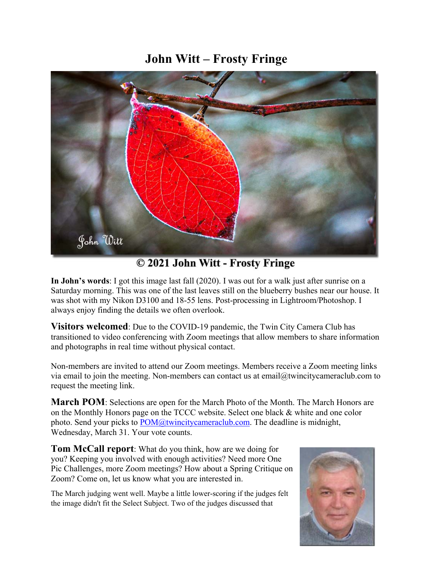# **John Witt – Frosty Fringe**



© 2021 John Witt - Frosty Fringe

**In John's words**: I got this image last fall (2020). I was out for a walk just after sunrise on a Saturday morning. This was one of the last leaves still on the blueberry bushes near our house. It was shot with my Nikon D3100 and 18-55 lens. Post-processing in Lightroom/Photoshop. I always enjoy finding the details we often overlook.

**Visitors welcomed**: Due to the COVID-19 pandemic, the Twin City Camera Club has transitioned to video conferencing with Zoom meetings that allow members to share information and photographs in real time without physical contact.

Non-members are invited to attend our Zoom meetings. Members receive a Zoom meeting links via email to join the meeting. Non-members can contact us at email $@t$ twincitycameraclub.com to request the meeting link.

**March POM**: Selections are open for the March Photo of the Month. The March Honors are on the Monthly Honors page on the TCCC website. Select one black & white and one color photo. Send your picks to  $POM@twincitycameraclub.com$ . The deadline is midnight, Wednesday, March 31. Your vote counts.

**Tom McCall report**: What do you think, how are we doing for you? Keeping you involved with enough activities? Need more One Pic Challenges, more Zoom meetings? How about a Spring Critique on Zoom? Come on, let us know what you are interested in.

The March judging went well. Maybe a little lower-scoring if the judges felt the image didn't fit the Select Subject. Two of the judges discussed that

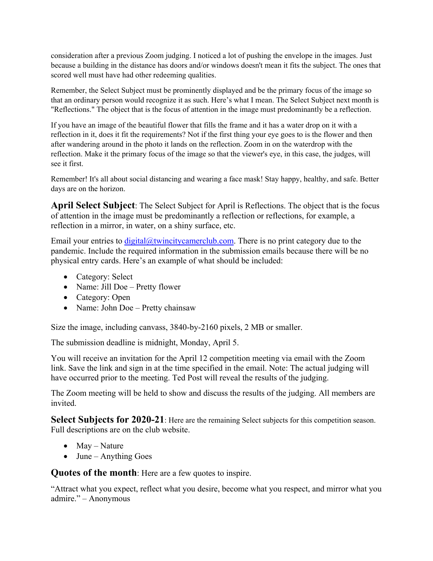consideration after a previous Zoom judging. I noticed a lot of pushing the envelope in the images. Just because a building in the distance has doors and/or windows doesn't mean it fits the subject. The ones that scored well must have had other redeeming qualities.

Remember, the Select Subject must be prominently displayed and be the primary focus of the image so that an ordinary person would recognize it as such. Here's what I mean. The Select Subject next month is "Reflections." The object that is the focus of attention in the image must predominantly be a reflection.

If you have an image of the beautiful flower that fills the frame and it has a water drop on it with a reflection in it, does it fit the requirements? Not if the first thing your eye goes to is the flower and then after wandering around in the photo it lands on the reflection. Zoom in on the waterdrop with the reflection. Make it the primary focus of the image so that the viewer's eye, in this case, the judges, will see it first.

Remember! It's all about social distancing and wearing a face mask! Stay happy, healthy, and safe. Better days are on the horizon.

**April Select Subject**: The Select Subject for April is Reflections. The object that is the focus of attention in the image must be predominantly a reflection or reflections, for example, a reflection in a mirror, in water, on a shiny surface, etc.

Email your entries to  $\frac{di gital(\omega t wincitycamerclub.com)}{h}$ . There is no print category due to the pandemic. Include the required information in the submission emails because there will be no physical entry cards. Here's an example of what should be included:

- Category: Select
- Name: Jill Doe Pretty flower
- Category: Open
- Name: John Doe Pretty chainsaw

Size the image, including canvass, 3840-by-2160 pixels, 2 MB or smaller.

The submission deadline is midnight, Monday, April 5.

You will receive an invitation for the April 12 competition meeting via email with the Zoom link. Save the link and sign in at the time specified in the email. Note: The actual judging will have occurred prior to the meeting. Ted Post will reveal the results of the judging.

The Zoom meeting will be held to show and discuss the results of the judging. All members are invited.

**Select Subjects for 2020-21**: Here are the remaining Select subjects for this competition season. Full descriptions are on the club website.

- May Nature
- $\bullet$  June Anything Goes

**Quotes of the month**: Here are a few quotes to inspire.

"Attract what you expect, reflect what you desire, become what you respect, and mirror what you admire." – Anonymous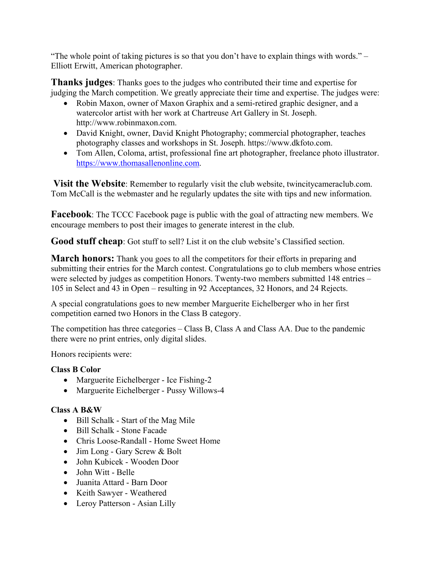"The whole point of taking pictures is so that you don't have to explain things with words." – Elliott Erwitt, American photographer.

**Thanks judges**: Thanks goes to the judges who contributed their time and expertise for judging the March competition. We greatly appreciate their time and expertise. The judges were:

- Robin Maxon, owner of Maxon Graphix and a semi-retired graphic designer, and a watercolor artist with her work at Chartreuse Art Gallery in St. Joseph. http://www.robinmaxon.com.
- David Knight, owner, David Knight Photography; commercial photographer, teaches photography classes and workshops in St. Joseph. https://www.dkfoto.com.
- Tom Allen, Coloma, artist, professional fine art photographer, freelance photo illustrator. https://www.thomasallenonline.com.

 **Visit the Website**: Remember to regularly visit the club website, twincitycameraclub.com. Tom McCall is the webmaster and he regularly updates the site with tips and new information.

**Facebook**: The TCCC Facebook page is public with the goal of attracting new members. We encourage members to post their images to generate interest in the club.

**Good stuff cheap**: Got stuff to sell? List it on the club website's Classified section.

**March honors:** Thank you goes to all the competitors for their efforts in preparing and submitting their entries for the March contest. Congratulations go to club members whose entries were selected by judges as competition Honors. Twenty-two members submitted 148 entries – 105 in Select and 43 in Open – resulting in 92 Acceptances, 32 Honors, and 24 Rejects.

A special congratulations goes to new member Marguerite Eichelberger who in her first competition earned two Honors in the Class B category.

The competition has three categories – Class B, Class A and Class AA. Due to the pandemic there were no print entries, only digital slides.

Honors recipients were:

## **Class B Color**

- Marguerite Eichelberger Ice Fishing-2
- Marguerite Eichelberger Pussy Willows-4

## **Class A B&W**

- Bill Schalk Start of the Mag Mile
- $\bullet$  Bill Schalk Stone Facade
- Chris Loose-Randall Home Sweet Home
- Jim Long Gary Screw & Bolt
- John Kubicek Wooden Door
- John Witt Belle
- Juanita Attard Barn Door
- Keith Sawyer Weathered
- Leroy Patterson Asian Lilly